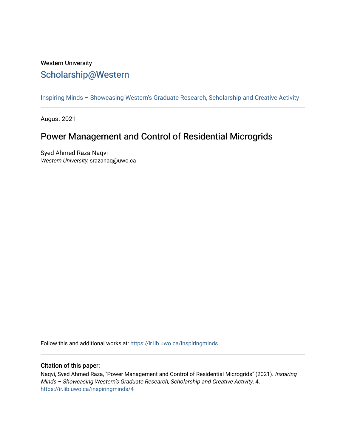## Western University [Scholarship@Western](https://ir.lib.uwo.ca/)

[Inspiring Minds – Showcasing Western's Graduate Research, Scholarship and Creative Activity](https://ir.lib.uwo.ca/inspiringminds) 

August 2021

# Power Management and Control of Residential Microgrids

Syed Ahmed Raza Naqvi Western University, srazanaq@uwo.ca

Follow this and additional works at: [https://ir.lib.uwo.ca/inspiringminds](https://ir.lib.uwo.ca/inspiringminds?utm_source=ir.lib.uwo.ca%2Finspiringminds%2F4&utm_medium=PDF&utm_campaign=PDFCoverPages) 

#### Citation of this paper:

Naqvi, Syed Ahmed Raza, "Power Management and Control of Residential Microgrids" (2021). Inspiring Minds – Showcasing Western's Graduate Research, Scholarship and Creative Activity. 4. [https://ir.lib.uwo.ca/inspiringminds/4](https://ir.lib.uwo.ca/inspiringminds/4?utm_source=ir.lib.uwo.ca%2Finspiringminds%2F4&utm_medium=PDF&utm_campaign=PDFCoverPages)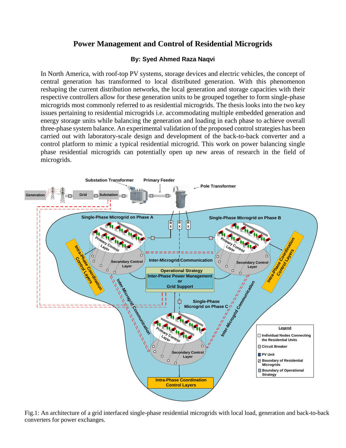### **Power Management and Control of Residential Microgrids**

### **By: Syed Ahmed Raza Naqvi**

In North America, with roof-top PV systems, storage devices and electric vehicles, the concept of central generation has transformed to local distributed generation. With this phenomenon reshaping the current distribution networks, the local generation and storage capacities with their respective controllers allow for these generation units to be grouped together to form single-phase microgrids most commonly referred to as residential microgrids. The thesis looks into the two key issues pertaining to residential microgrids i.e. accommodating multiple embedded generation and energy storage units while balancing the generation and loading in each phase to achieve overall three-phase system balance. An experimental validation of the proposed control strategies has been carried out with laboratory-scale design and development of the back-to-back converter and a control platform to mimic a typical residential microgrid. This work on power balancing single phase residential microgrids can potentially open up new areas of research in the field of microgrids.



Fig.1: An architecture of a grid interfaced single-phase residential microgrids with local load, generation and back-to-back converters for power exchanges.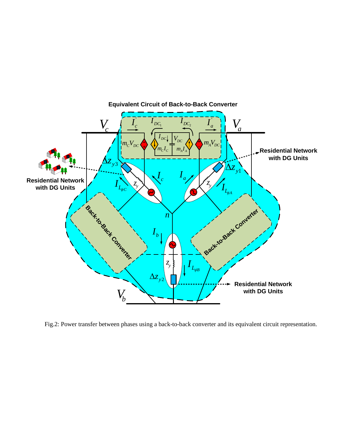

Fig.2: Power transfer between phases using a back-to-back converter and its equivalent circuit representation.